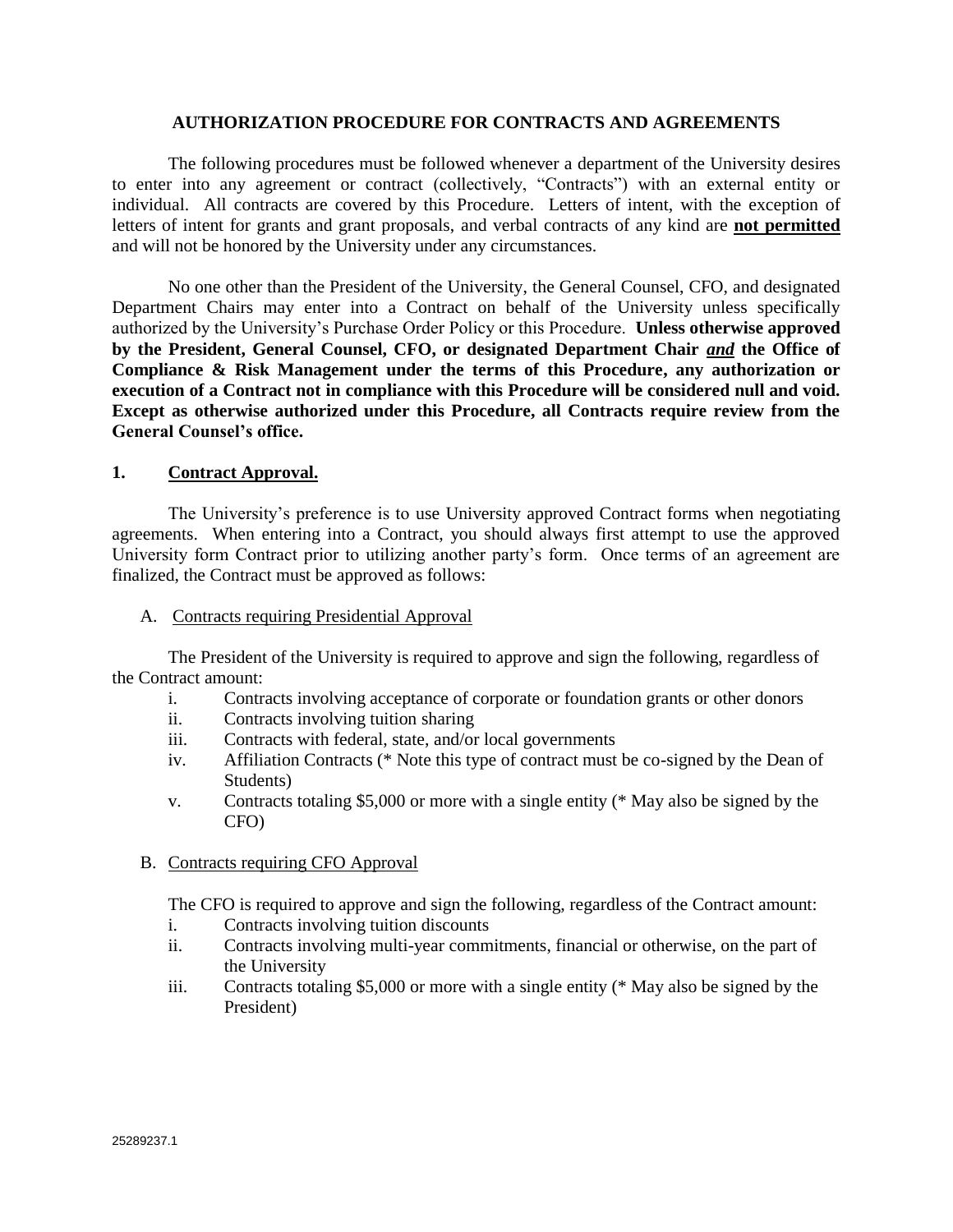### **AUTHORIZATION PROCEDURE FOR CONTRACTS AND AGREEMENTS**

The following procedures must be followed whenever a department of the University desires to enter into any agreement or contract (collectively, "Contracts") with an external entity or individual. All contracts are covered by this Procedure. Letters of intent, with the exception of letters of intent for grants and grant proposals, and verbal contracts of any kind are **not permitted** and will not be honored by the University under any circumstances.

No one other than the President of the University, the General Counsel, CFO, and designated Department Chairs may enter into a Contract on behalf of the University unless specifically authorized by the University's Purchase Order Policy or this Procedure. **Unless otherwise approved by the President, General Counsel, CFO, or designated Department Chair** *and* **the Office of Compliance & Risk Management under the terms of this Procedure, any authorization or execution of a Contract not in compliance with this Procedure will be considered null and void. Except as otherwise authorized under this Procedure, all Contracts require review from the General Counsel's office.**

## **1. Contract Approval.**

The University's preference is to use University approved Contract forms when negotiating agreements. When entering into a Contract, you should always first attempt to use the approved University form Contract prior to utilizing another party's form. Once terms of an agreement are finalized, the Contract must be approved as follows:

### A. Contracts requiring Presidential Approval

The President of the University is required to approve and sign the following, regardless of the Contract amount:

- i. Contracts involving acceptance of corporate or foundation grants or other donors
- ii. Contracts involving tuition sharing
- iii. Contracts with federal, state, and/or local governments
- iv. Affiliation Contracts (\* Note this type of contract must be co-signed by the Dean of Students)
- v. Contracts totaling \$5,000 or more with a single entity (\* May also be signed by the CFO)
- B. Contracts requiring CFO Approval

The CFO is required to approve and sign the following, regardless of the Contract amount:

- i. Contracts involving tuition discounts
- ii. Contracts involving multi-year commitments, financial or otherwise, on the part of the University
- iii. Contracts totaling \$5,000 or more with a single entity (\* May also be signed by the President)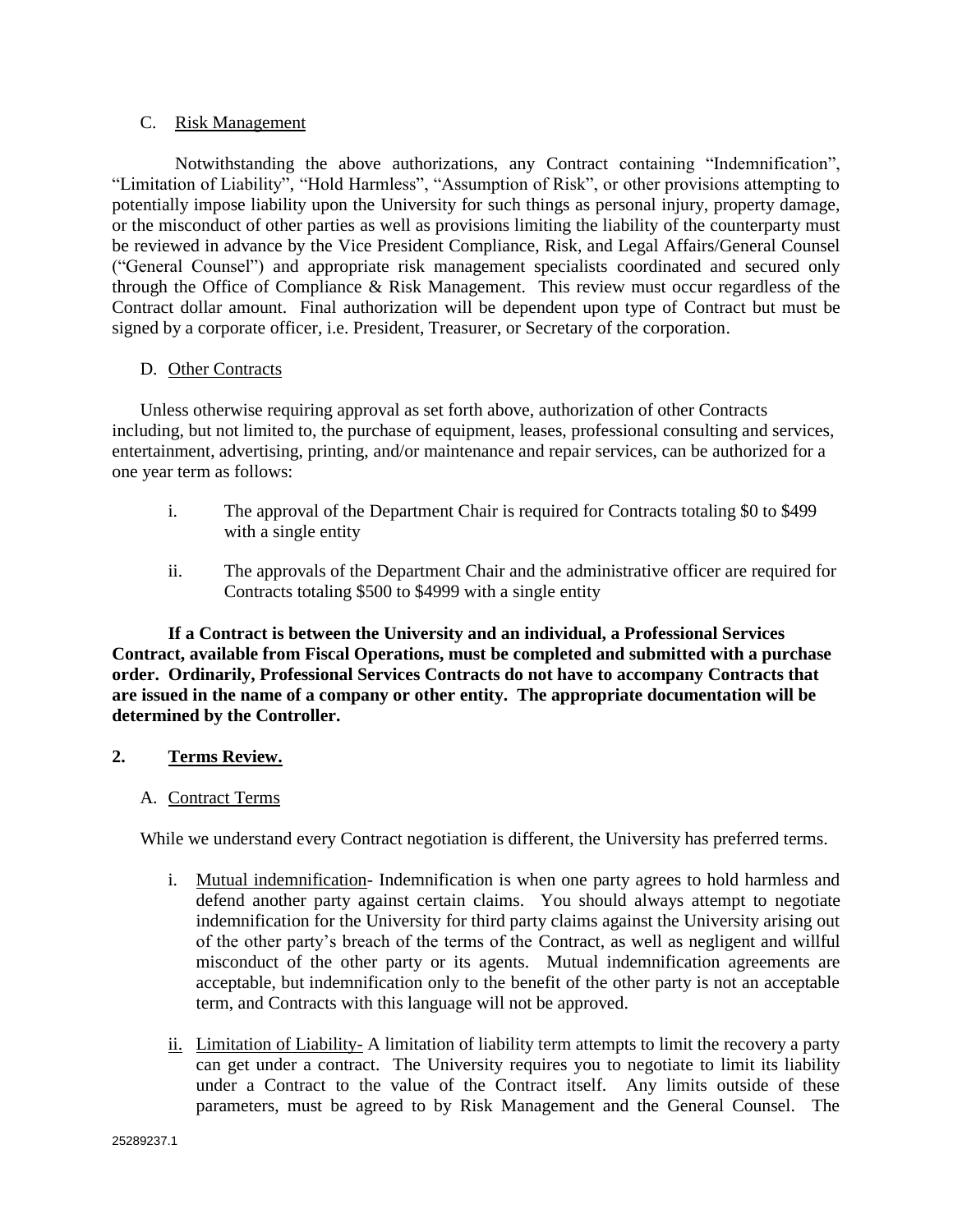## C. Risk Management

Notwithstanding the above authorizations, any Contract containing "Indemnification", "Limitation of Liability", "Hold Harmless", "Assumption of Risk", or other provisions attempting to potentially impose liability upon the University for such things as personal injury, property damage, or the misconduct of other parties as well as provisions limiting the liability of the counterparty must be reviewed in advance by the Vice President Compliance, Risk, and Legal Affairs/General Counsel ("General Counsel") and appropriate risk management specialists coordinated and secured only through the Office of Compliance & Risk Management. This review must occur regardless of the Contract dollar amount. Final authorization will be dependent upon type of Contract but must be signed by a corporate officer, i.e. President, Treasurer, or Secretary of the corporation.

# D.Other Contracts

Unless otherwise requiring approval as set forth above, authorization of other Contracts including, but not limited to, the purchase of equipment, leases, professional consulting and services, entertainment, advertising, printing, and/or maintenance and repair services, can be authorized for a one year term as follows:

- i. The approval of the Department Chair is required for Contracts totaling \$0 to \$499 with a single entity
- ii. The approvals of the Department Chair and the administrative officer are required for Contracts totaling \$500 to \$4999 with a single entity

**If a Contract is between the University and an individual, a Professional Services Contract, available from Fiscal Operations, must be completed and submitted with a purchase order. Ordinarily, Professional Services Contracts do not have to accompany Contracts that are issued in the name of a company or other entity. The appropriate documentation will be determined by the Controller.**

# **2. Terms Review.**

## A. Contract Terms

While we understand every Contract negotiation is different, the University has preferred terms.

- i. Mutual indemnification- Indemnification is when one party agrees to hold harmless and defend another party against certain claims. You should always attempt to negotiate indemnification for the University for third party claims against the University arising out of the other party's breach of the terms of the Contract, as well as negligent and willful misconduct of the other party or its agents.Mutual indemnification agreements are acceptable, but indemnification only to the benefit of the other party is not an acceptable term, and Contracts with this language will not be approved.
- ii. Limitation of Liability- A limitation of liability term attempts to limit the recovery a party can get under a contract. The University requires you to negotiate to limit its liability under a Contract to the value of the Contract itself. Any limits outside of these parameters, must be agreed to by Risk Management and the General Counsel. The